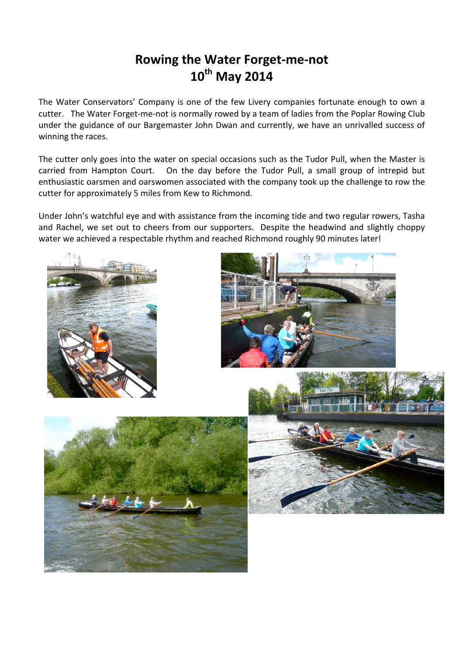## Rowing the Water Forget-me-not 10th May 2014

The Water Conservators' Company is one of the few Livery companies fortunate enough to own a cutter. The Water Forget-me-not is normally rowed by a team of ladies from the Poplar Rowing Club under the guidance of our Bargemaster John Dwan and currently, we have an unrivalled success of winning the races.

The cutter only goes into the water on special occasions such as the Tudor Pull, when the Master is carried from Hampton Court. On the day before the Tudor Pull, a small group of intrepid but enthusiastic oarsmen and oarswomen associated with the company took up the challenge to row the cutter for approximately 5 miles from Kew to Richmond.

Under John's watchful eye and with assistance from the incoming tide and two regular rowers, Tasha and Rachel, we set out to cheers from our supporters. Despite the headwind and slightly choppy water we achieved a respectable rhythm and reached Richmond roughly 90 minutes later!